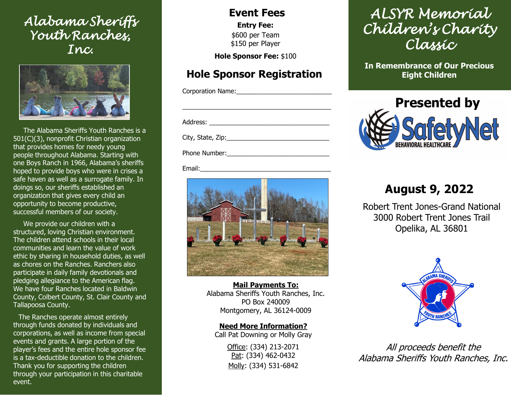## *Alabama Sheriffs Youth Ranches, Inc.*



The Alabama Sheriffs Youth Ranches is a 501(C)(3), nonprofit Christian organization that provides homes for needy young people throughout Alabama. Starting with one Boys Ranch in 1966, Alabama's sheriffs hoped to provide boys who were in crises a safe haven as well as a surrogate family. In doings so, our sheriffs established an organization that gives every child an opportunity to become productive, successful members of our society.

We provide our children with a structured, loving Christian environment. The children attend schools in their local communities and learn the value of work ethic by sharing in household duties, as well as chores on the Ranches. Ranchers also participate in daily family devotionals and pledging allegiance to the American flag. We have four Ranches located in Baldwin County, Colbert County, St. Clair County and Tallapoosa County.

The Ranches operate almost entirely through funds donated by individuals and corporations, as well as income from special events and grants. A large portion of the player's fees and the entire hole sponsor fee is a tax-deductible donation to the children. Thank you for supporting the children through your participation in this charitable event.

#### **Event Fees**

**Entry Fee:** \$600 per Team \$150 per Player

**Hole Sponsor Fee:** \$100

### **Hole Sponsor Registration**

\_\_\_\_\_\_\_\_\_\_\_\_\_\_\_\_\_\_\_\_\_\_\_\_\_\_\_\_\_\_\_\_\_\_\_\_\_\_\_\_\_\_

Corporation Name:

Address: \_\_\_\_\_\_\_\_\_\_\_\_\_\_\_\_\_\_\_\_\_\_\_\_\_\_\_\_\_\_\_\_\_\_

City, State, Zip:\_\_\_\_\_\_\_\_\_\_\_\_\_\_\_\_\_\_\_\_\_\_\_\_\_\_\_\_\_

Phone Number:

Email:



**Mail Payments To:** Alabama Sheriffs Youth Ranches, Inc. PO Box 240009 Montgomery, AL 36124-0009

**Need More Information?** Call Pat Downing or Molly Gray

> Office: (334) 213-2071 Pat: (334) 462-0432 Molly: (334) 531-6842

# *ALSYR Memorial Children's Charity Classic*

**In Remembrance of Our Precious Eight Children**



# **August 9, 2022**

Robert Trent Jones-Grand National 3000 Robert Trent Jones Trail Opelika, AL 36801



All proceeds benefit the Alabama Sheriffs Youth Ranches, Inc.